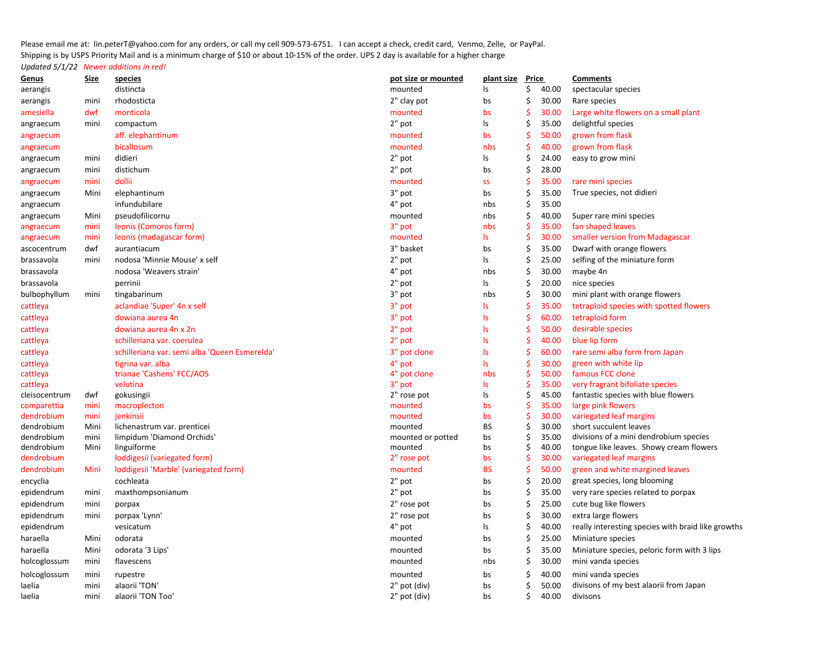Please email me at: lin.peterT@yahoo.com for any orders, or call my cell 909-573-6751. I can accept a check, credit card, Venmo, Zelle, or PayPal. Shipping is by USPS Priority Mail and is a minimum charge of \$10 or about 10-15% of the order. UPS 2 day is available for a higher charge*Updated 5/1/22 Newer additions in red!*

| <u>Genus</u>             | <u>Size</u>  | species                                       | pot size or mounted | plant size Price |                     |                | <b>Comments</b>                                    |
|--------------------------|--------------|-----------------------------------------------|---------------------|------------------|---------------------|----------------|----------------------------------------------------|
| aerangis                 |              | distincta                                     | mounted             | ls               | \$                  | 40.00          | spectacular species                                |
| aerangis                 | mini         | rhodosticta                                   | 2" clay pot         | bs               | \$                  | 30.00          | Rare species                                       |
| amesiella                | dwf          | monticola                                     | mounted             | bs               | Ś                   | 30.00          | Large white flowers on a small plant               |
| angraecum                | mini         | compactum                                     | 2" pot              | Is               | \$                  | 35.00          | delightful species                                 |
| angraecum                |              | aff. elephantinum                             | mounted             | bs               | \$                  | 50.00          | grown from flask                                   |
| angraecum                |              | bicallosum                                    | mounted             | nbs              | \$                  | 40.00          | grown from flask                                   |
| angraecum                | mini         | didieri                                       | 2" pot              | ls               | \$                  | 24.00          | easy to grow mini                                  |
| angraecum                | mini         | distichum                                     | 2" pot              | bs               | \$                  | 28.00          |                                                    |
| angraecum                | mini         | dollii                                        | mounted             | <b>SS</b>        | Ś                   | 35.00          | rare mini species                                  |
| angraecum                | Mini         | elephantinum                                  | 3" pot              | bs               | \$                  | 35.00          | True species, not didieri                          |
| angraecum                |              | infundubilare                                 | 4" pot              | nbs              | \$                  | 35.00          |                                                    |
| angraecum                | Mini         | pseudofilicornu                               | mounted             | nbs              | \$                  | 40.00          | Super rare mini species                            |
| angraecum                | mini         | leonis (Comoros form)                         | 3" pot              | nbs              | $\mathsf{\hat{S}}$  | 35.00          | fan shaped leaves                                  |
| angraecum                | mini         | leonis (madagascar form)                      | mounted             | ls.              | $\mathsf{\hat{S}}$  | 30.00          | smaller version from Madagascar                    |
| ascocentrum              | dwf          | aurantiacum                                   | 3" basket           | bs               | \$                  | 35.00          | Dwarf with orange flowers                          |
| brassavola               | mini         | nodosa 'Minnie Mouse' x self                  | $2"$ pot            | ls               | \$                  | 25.00          | selfing of the miniature form                      |
| brassavola               |              | nodosa 'Weavers strain'                       | 4" pot              | nbs              | \$                  | 30.00          | maybe 4n                                           |
| brassavola               |              | perrinii                                      | 2" pot              | ls               | \$                  | 20.00          | nice species                                       |
| bulbophyllum             | mini         | tingabarinum                                  | 3" pot              | nbs              | \$                  | 30.00          | mini plant with orange flowers                     |
| cattleya                 |              | aclandiae 'Super' 4n x self                   | 3" pot              | ls.              | $\frac{1}{2}$       | 35.00          | tetraploid species with spotted flowers            |
| cattleya                 |              | dowiana aurea 4n                              | 3" pot              | <b>Is</b>        | $\frac{1}{2}$       | 60.00          | tetraploid form                                    |
| cattleya                 |              | dowiana aurea 4n x 2n                         | 2" pot              | <b>Is</b>        | \$                  | 50.00          | desirable species                                  |
| cattleya                 |              | schilleriana var. coerulea                    | 2" pot              | Is               | \$                  | 40.00          | blue lip form                                      |
| cattleya                 |              | schilleriana var. semi alba 'Queen Esmerelda' | 3" pot clone        | Is               | \$                  | 60.00          | rare semi alba form from Japan                     |
| cattleya                 |              | tigrina var. alba                             | 4" pot              | $\mathsf{ls}$    | $\frac{1}{2}$       | 30.00          | green with white lip                               |
| cattleya                 |              | trianae 'Cashens' FCC/AOS                     | 4" pot clone        | nbs              | $\mathsf{\hat{S}}$  | 50.00          | famous FCC clone                                   |
| cattleya                 |              | velutina                                      | 3" pot              | ls.              | \$                  | 35.00          | very fragrant bifoliate species                    |
| cleisocentrum            | dwf          | gokusingii                                    | 2" rose pot         | Is               | \$                  | 45.00          | fantastic species with blue flowers                |
| comparettia              | mini         | macroplecton                                  | mounted             | bs               | \$                  | 35.00          | large pink flowers                                 |
| dendrobium<br>dendrobium | mini<br>Mini | jenkinsii<br>lichenastrum var. prenticei      | mounted<br>mounted  | bs<br>BS         | $\frac{1}{2}$<br>\$ | 30.00<br>30.00 | variegated leaf margins<br>short succulent leaves  |
| dendrobium               | mini         | limpidum 'Diamond Orchids'                    | mounted or potted   | bs               | \$                  | 35.00          | divisions of a mini dendrobium species             |
| dendrobium               | Mini         | linguiforme                                   | mounted             | bs               | \$                  | 40.00          | tongue like leaves. Showy cream flowers            |
| dendrobium               |              | loddigesii (variegated form)                  | 2" rose pot         | bs               | \$                  | 30.00          | variegated leaf margins                            |
| dendrobium               | Mini         | loddigesii 'Marble' (variegated form)         | mounted             | <b>BS</b>        | $\frac{1}{2}$       | 50.00          | green and white margined leaves                    |
| encyclia                 |              | cochleata                                     | 2" pot              | bs               | \$                  | 20.00          | great species, long blooming                       |
| epidendrum               | mini         | maxthompsonianum                              | 2" pot              | bs               | \$                  | 35.00          | very rare species related to porpax                |
| epidendrum               | mini         | porpax                                        | 2" rose pot         | bs               | \$                  | 25.00          | cute bug like flowers                              |
| epidendrum               | mini         | porpax 'Lynn'                                 | 2" rose pot         | bs               | \$                  | 30.00          | extra large flowers                                |
| epidendrum               |              | vesicatum                                     | 4" pot              | ls               | \$                  | 40.00          | really interesting species with braid like growths |
| haraella                 | Mini         | odorata                                       | mounted             | bs               | \$                  | 25.00          | Miniature species                                  |
| haraella                 | Mini         | odorata '3 Lips'                              | mounted             | bs               | \$                  | 35.00          | Miniature species, peloric form with 3 lips        |
| holcoglossum             | mini         | flavescens                                    | mounted             | nbs              | \$                  | 30.00          | mini vanda species                                 |
| holcoglossum             | mini         | rupestre                                      | mounted             | bs               | Ś                   | 40.00          | mini vanda species                                 |
| laelia                   | mini         | alaorii 'TON'                                 | 2" pot (div)        | bs               | Ś                   | 50.00          | divisons of my best alaorii from Japan             |
| laelia                   | mini         | alaorii 'TON Too'                             | 2" pot (div)        | bs               | \$                  | 40.00          | divisons                                           |
|                          |              |                                               |                     |                  |                     |                |                                                    |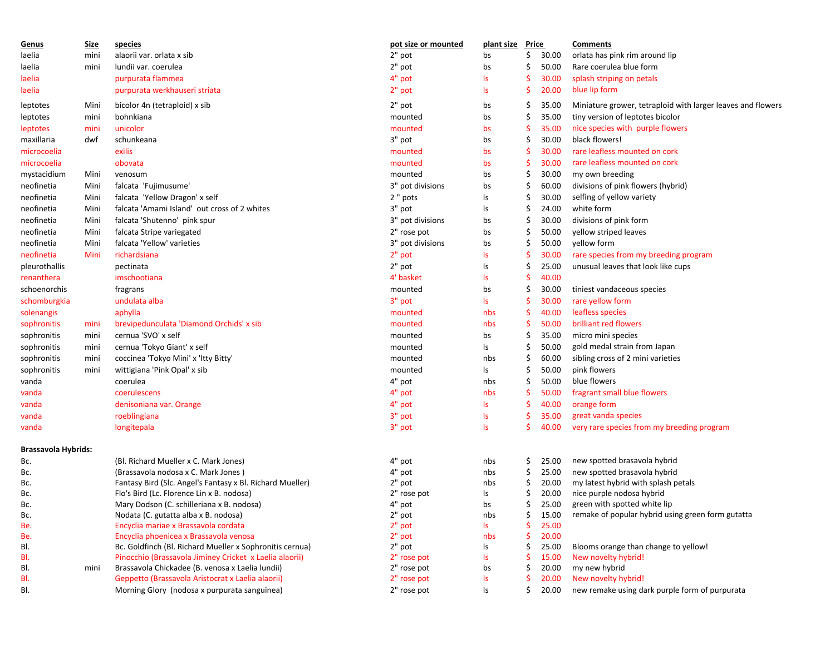| Genus                      | Size | species                                                                        | pot size or mounted | plant size Price |    |                | <b>Comments</b>                                             |
|----------------------------|------|--------------------------------------------------------------------------------|---------------------|------------------|----|----------------|-------------------------------------------------------------|
| laelia                     | mini | alaorii var. orlata x sib                                                      | 2" pot              | bs               | Ś  | 30.00          | orlata has pink rim around lip                              |
| laelia                     | mini | lundii var. coerulea                                                           | 2" pot              | bs               | \$ | 50.00          | Rare coerulea blue form                                     |
| laelia                     |      | purpurata flammea                                                              | 4" pot              | ls               |    | 30.00          | splash striping on petals                                   |
| laelia                     |      | purpurata werkhauseri striata                                                  | 2" pot              | ls.              |    | 20.00          | blue lip form                                               |
| leptotes                   | Mini | bicolor 4n (tetraploid) x sib                                                  | 2" pot              | bs               | S  | 35.00          | Miniature grower, tetraploid with larger leaves and flowers |
| leptotes                   | mini | bohnkiana                                                                      | mounted             | bs               | Ś  | 35.00          | tiny version of leptotes bicolor                            |
| leptotes                   | mini | unicolor                                                                       | mounted             | bs               |    | 35.00          | nice species with purple flowers                            |
| maxillaria                 | dwf  | schunkeana                                                                     | 3" pot              | bs               |    | 30.00          | black flowers!                                              |
| microcoelia                |      | exilis                                                                         | mounted             | bs               |    | 30.00          | rare leafless mounted on cork                               |
| microcoelia                |      | obovata                                                                        | mounted             | bs               |    | 30.00          | rare leafless mounted on cork                               |
| mystacidium                | Mini | venosum                                                                        | mounted             | bs               | \$ | 30.00          | my own breeding                                             |
| neofinetia                 | Mini | falcata 'Fujimusume'                                                           | 3" pot divisions    | bs               |    | 60.00          | divisions of pink flowers (hybrid)                          |
| neofinetia                 | Mini | falcata 'Yellow Dragon' x self                                                 | 2 " pots            | ls               | Ś  | 30.00          | selfing of yellow variety                                   |
| neofinetia                 | Mini | falcata 'Amami Island' out cross of 2 whites                                   | 3" pot              | ls               | \$ | 24.00          | white form                                                  |
| neofinetia                 | Mini | falcata 'Shutenno' pink spur                                                   | 3" pot divisions    | bs               | \$ | 30.00          | divisions of pink form                                      |
| neofinetia                 | Mini | falcata Stripe variegated                                                      | 2" rose pot         |                  | Ś  | 50.00          | yellow striped leaves                                       |
|                            |      | falcata 'Yellow' varieties                                                     |                     | bs               |    |                | yellow form                                                 |
| neofinetia                 | Mini |                                                                                | 3" pot divisions    | bs               | S  | 50.00          |                                                             |
| neofinetia                 | Mini | richardsiana                                                                   | 2" pot              | ls               |    | 30.00          | rare species from my breeding program                       |
| pleurothallis              |      | pectinata                                                                      | 2" pot              | ls               |    | 25.00          | unusual leaves that look like cups                          |
| renanthera                 |      | imschootiana                                                                   | 4' basket           | ls               |    | 40.00          |                                                             |
| schoenorchis               |      | fragrans                                                                       | mounted             | bs               | Ś  | 30.00          | tiniest vandaceous species                                  |
| schomburgkia               |      | undulata alba                                                                  | 3" pot              | ls               |    | 30.00          | rare yellow form                                            |
| solenangis                 |      | aphylla                                                                        | mounted             | nbs              |    | 40.00          | leafless species                                            |
| sophronitis                | mini | brevipedunculata 'Diamond Orchids' x sib                                       | mounted             | nbs              |    | 50.00          | brilliant red flowers                                       |
| sophronitis                | mini | cernua 'SVO' x self                                                            | mounted             | bs               | Ś  | 35.00          | micro mini species                                          |
| sophronitis                | mini | cernua 'Tokyo Giant' x self                                                    | mounted             | ls               |    | 50.00          | gold medal strain from Japan                                |
| sophronitis                | mini | coccinea 'Tokyo Mini' x 'Itty Bitty'                                           | mounted             | nbs              | Ś  | 60.00          | sibling cross of 2 mini varieties                           |
| sophronitis                | mini | wittigiana 'Pink Opal' x sib                                                   | mounted             | ls               | S  | 50.00          | pink flowers                                                |
| vanda                      |      | coerulea                                                                       | 4" pot              | nbs              |    | 50.00          | blue flowers                                                |
| vanda                      |      | coerulescens                                                                   | 4" pot              | nbs              |    | 50.00          | fragrant small blue flowers                                 |
| vanda                      |      | denisoniana var. Orange                                                        | 4" pot              | ls               |    | 40.00          | orange form                                                 |
| vanda                      |      | roeblingiana                                                                   | 3" pot              | ls               |    | 35.00          | great vanda species                                         |
| vanda                      |      | longitepala                                                                    | 3" pot              | ls               | S  | 40.00          | very rare species from my breeding program                  |
|                            |      |                                                                                |                     |                  |    |                |                                                             |
| <b>Brassavola Hybrids:</b> |      |                                                                                |                     |                  |    |                |                                                             |
| Bc.                        |      | (Bl. Richard Mueller x C. Mark Jones)                                          | 4" pot              | nbs              | \$ | 25.00          | new spotted brasavola hybrid                                |
| Bc.                        |      | (Brassavola nodosa x C. Mark Jones)                                            | 4" pot              | nbs              | \$ | 25.00          | new spotted brasavola hybrid                                |
| Bc.                        |      | Fantasy Bird (Slc. Angel's Fantasy x Bl. Richard Mueller)                      | 2" pot              | nbs              | \$ | 20.00          | my latest hybrid with splash petals                         |
| Bc.                        |      | Flo's Bird (Lc. Florence Lin x B. nodosa)                                      | 2" rose pot         | ls               | \$ | 20.00          | nice purple nodosa hybrid                                   |
| Bc.                        |      | Mary Dodson (C. schilleriana x B. nodosa)                                      | 4" pot              | bs               | \$ | 25.00          | green with spotted white lip                                |
| Bc.                        |      | Nodata (C. gutatta alba x B. nodosa)                                           | 2" pot              | nbs              | \$ | 15.00          | remake of popular hybrid using green form gutatta           |
| Be.<br>Be.                 |      | Encyclia mariae x Brassavola cordata<br>Encyclia phoenicea x Brassavola venosa | 2" pot<br>2" pot    | ls.<br>nbs       |    | 25.00<br>20.00 |                                                             |
| BI.                        |      | Bc. Goldfinch (Bl. Richard Mueller x Sophronitis cernua)                       | 2" pot              | ls               | \$ | 25.00          | Blooms orange than change to yellow!                        |
| BI.                        |      | Pinocchio (Brassavola Jiminey Cricket x Laelia alaorii)                        | 2" rose pot         | ls               |    | 15.00          | New novelty hybrid!                                         |
| BI.                        | mini | Brassavola Chickadee (B. venosa x Laelia lundii)                               | 2" rose pot         | bs               | \$ | 20.00          | my new hybrid                                               |
| BI.                        |      | Geppetto (Brassavola Aristocrat x Laelia alaorii)                              | 2" rose pot         | ls               | \$ | 20.00          | New novelty hybrid!                                         |
| BI.                        |      | Morning Glory (nodosa x purpurata sanguinea)                                   | 2" rose pot         | ls               | Ś  | 20.00          | new remake using dark purple form of purpurata              |
|                            |      |                                                                                |                     |                  |    |                |                                                             |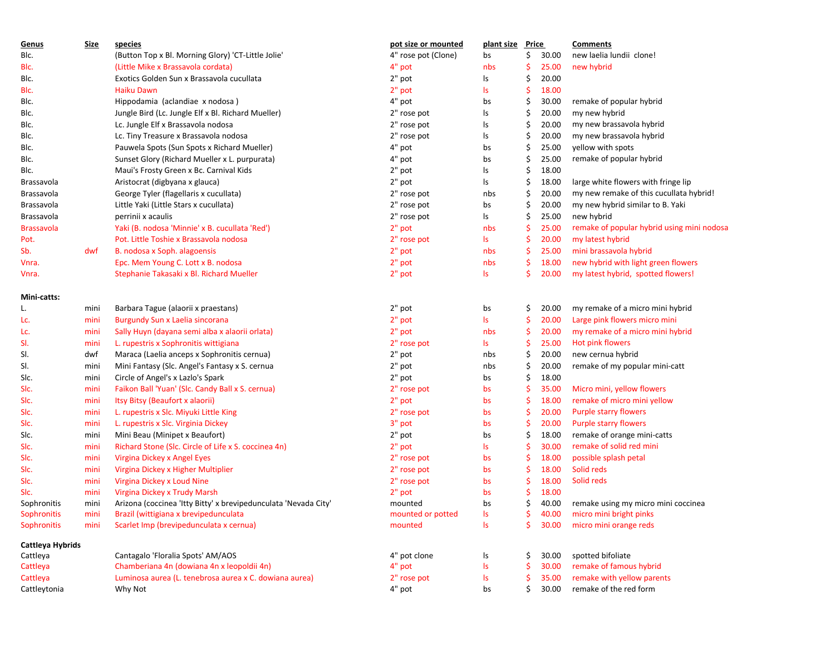| Genus                        | <b>Size</b> | species                                                         | pot size or mounted | plant size Price |     |       | <b>Comments</b>                            |  |  |
|------------------------------|-------------|-----------------------------------------------------------------|---------------------|------------------|-----|-------|--------------------------------------------|--|--|
| Blc.                         |             | (Button Top x Bl. Morning Glory) 'CT-Little Jolie'              | 4" rose pot (Clone) | bs               | Ś   | 30.00 | new laelia lundii clone!                   |  |  |
| BIc.                         |             | (Little Mike x Brassavola cordata)                              | 4" pot              | nbs              | \$  | 25.00 | new hybrid                                 |  |  |
| Blc.                         |             | Exotics Golden Sun x Brassavola cucullata                       | 2" pot              | ls               | \$  | 20.00 |                                            |  |  |
| BIc.                         |             | Haiku Dawn                                                      | $2"$ pot            | ls               | \$  | 18.00 |                                            |  |  |
| Blc.                         |             | Hippodamia (aclandiae x nodosa)                                 | 4" pot              | bs               | \$  | 30.00 | remake of popular hybrid                   |  |  |
| Blc.                         |             | Jungle Bird (Lc. Jungle Elf x Bl. Richard Mueller)              | 2" rose pot         | ls               | \$  | 20.00 | my new hybrid                              |  |  |
| Blc.                         |             | Lc. Jungle Elf x Brassavola nodosa                              | 2" rose pot         | ls               | \$  | 20.00 | my new brassavola hybrid                   |  |  |
| Blc.                         |             | Lc. Tiny Treasure x Brassavola nodosa                           | 2" rose pot         | ls               | Ś   | 20.00 | my new brassavola hybrid                   |  |  |
| Blc.                         |             | Pauwela Spots (Sun Spots x Richard Mueller)                     | 4" pot              | bs               | \$  | 25.00 | yellow with spots                          |  |  |
| Blc.                         |             | Sunset Glory (Richard Mueller x L. purpurata)                   | 4" pot              | bs               | \$, | 25.00 | remake of popular hybrid                   |  |  |
| Blc.                         |             | Maui's Frosty Green x Bc. Carnival Kids                         | 2" pot              | ls               | \$  | 18.00 |                                            |  |  |
| Brassavola                   |             | Aristocrat (digbyana x glauca)                                  | 2" pot              | ls               | \$  | 18.00 | large white flowers with fringe lip        |  |  |
| Brassavola                   |             | George Tyler (flagellaris x cucullata)                          | 2" rose pot         | nbs              | \$  | 20.00 | my new remake of this cucullata hybrid!    |  |  |
| Brassavola                   |             | Little Yaki (Little Stars x cucullata)                          | 2" rose pot         | bs               | \$  | 20.00 | my new hybrid similar to B. Yaki           |  |  |
| Brassavola                   |             | perrinii x acaulis                                              | 2" rose pot         | ls               | \$  | 25.00 | new hybrid                                 |  |  |
| <b>Brassavola</b>            |             | Yaki (B. nodosa 'Minnie' x B. cucullata 'Red')                  | $2"$ pot            | nbs              | -\$ | 25.00 | remake of popular hybrid using mini nodosa |  |  |
| Pot.                         |             | Pot. Little Toshie x Brassavola nodosa                          | 2" rose pot         | ls.              | \$  | 20.00 | my latest hybrid                           |  |  |
| Sb.                          | dwf         | B. nodosa x Soph. alagoensis                                    | 2" pot              | nbs              | S   | 25.00 | mini brassavola hybrid                     |  |  |
| Vnra.                        |             | Epc. Mem Young C. Lott x B. nodosa                              | $2"$ pot            | nbs              | Ś   | 18.00 | new hybrid with light green flowers        |  |  |
| Vnra.                        |             | Stephanie Takasaki x Bl. Richard Mueller                        | 2" pot              | ls               | Ś   | 20.00 | my latest hybrid, spotted flowers!         |  |  |
| Mini-catts:                  |             |                                                                 |                     |                  |     |       |                                            |  |  |
| L.                           | mini        | Barbara Tague (alaorii x praestans)                             | 2" pot              | bs               | S   | 20.00 | my remake of a micro mini hybrid           |  |  |
| Lc.                          | mini        | Burgundy Sun x Laelia sincorana                                 | 2" pot              | <b>Is</b>        | .\$ | 20.00 | Large pink flowers micro mini              |  |  |
| Lc.                          | mini        | Sally Huyn (dayana semi alba x alaorii orlata)                  | 2" pot              | nbs              | S   | 20.00 | my remake of a micro mini hybrid           |  |  |
| SI.                          | mini        | L. rupestris x Sophronitis wittigiana                           | 2" rose pot         | ls.              | S   | 25.00 | Hot pink flowers                           |  |  |
| SI.                          | dwf         | Maraca (Laelia anceps x Sophronitis cernua)                     | 2" pot              | nbs              | \$  | 20.00 | new cernua hybrid                          |  |  |
| SI.                          | mini        | Mini Fantasy (Slc. Angel's Fantasy x S. cernua                  | 2" pot              | nbs              | \$  | 20.00 | remake of my popular mini-catt             |  |  |
| Slc.                         | mini        | Circle of Angel's x Lazlo's Spark                               | 2" pot              | bs               | \$  | 18.00 |                                            |  |  |
| SIc.                         | mini        | Faikon Ball 'Yuan' (Slc. Candy Ball x S. cernua)                | 2" rose pot         | bs               | S   | 35.00 | Micro mini, yellow flowers                 |  |  |
| Slc.                         | mini        | Itsy Bitsy (Beaufort x alaorii)                                 | 2" pot              | bs               | S   | 18.00 | remake of micro mini yellow                |  |  |
| Slc.                         | mini        | L. rupestris x Slc. Miyuki Little King                          | 2" rose pot         | bs               | .\$ | 20.00 | <b>Purple starry flowers</b>               |  |  |
| Slc.                         | mini        | L. rupestris x Slc. Virginia Dickey                             | 3" pot              | bs               | \$  | 20.00 | Purple starry flowers                      |  |  |
| Slc.                         | mini        | Mini Beau (Minipet x Beaufort)                                  | 2" pot              | bs               | \$  | 18.00 | remake of orange mini-catts                |  |  |
| Slc.                         | mini        | Richard Stone (Slc. Circle of Life x S. coccinea 4n)            | 2" pot              | ls.              | Ś   | 30.00 | remake of solid red mini                   |  |  |
| SIc.                         | mini        | Virgina Dickey x Angel Eyes                                     | 2" rose pot         | bs               | \$  | 18.00 | possible splash petal                      |  |  |
| SIc.                         | mini        | Virgina Dickey x Higher Multiplier                              | 2" rose pot         | bs               | S   | 18.00 | Solid reds                                 |  |  |
| Slc.                         | mini        | Virgina Dickey x Loud Nine                                      | 2" rose pot         | bs               | -\$ | 18.00 | Solid reds                                 |  |  |
| Slc.                         | mini        | Virgina Dickey x Trudy Marsh                                    | 2" pot              | bs               | \$  | 18.00 |                                            |  |  |
| Sophronitis                  | mini        | Arizona (coccinea 'Itty Bitty' x brevipedunculata 'Nevada City' | mounted             | bs               | \$  | 40.00 | remake using my micro mini coccinea        |  |  |
| Sophronitis                  | mini        | Brazil (wittigiana x brevipedunculata                           | mounted or potted   | ls               | \$  | 40.00 | micro mini bright pinks                    |  |  |
| <b>Sophronitis</b>           | mini        | Scarlet Imp (brevipedunculata x cernua)                         | mounted             | ls               | \$  | 30.00 | micro mini orange reds                     |  |  |
| Cattleya Hybrids<br>Cattleya |             | Cantagalo 'Floralia Spots' AM/AOS                               | 4" pot clone        | ls               | \$  | 30.00 | spotted bifoliate                          |  |  |
| Cattleya                     |             | Chamberiana 4n (dowiana 4n x leopoldii 4n)                      | 4" pot              | ls               | \$  | 30.00 | remake of famous hybrid                    |  |  |
| Cattleya                     |             | Luminosa aurea (L. tenebrosa aurea x C. dowiana aurea)          | 2" rose pot         | ls               | \$  | 35.00 | remake with yellow parents                 |  |  |
| Cattleytonia                 |             | Why Not                                                         | 4" pot              | bs               | Ś   | 30.00 | remake of the red form                     |  |  |
|                              |             |                                                                 |                     |                  |     |       |                                            |  |  |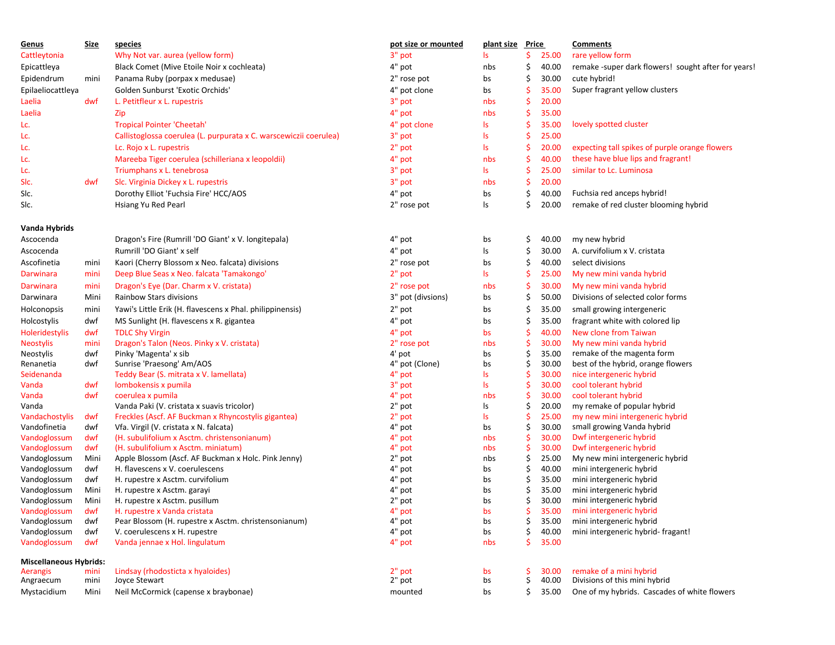| <u>Genus</u>                       | <b>Size</b>  | species                                                              | pot size or mounted   | plant size Price |         |                | <b>Comments</b>                                          |
|------------------------------------|--------------|----------------------------------------------------------------------|-----------------------|------------------|---------|----------------|----------------------------------------------------------|
| Cattleytonia                       |              | Why Not var. aurea (yellow form)                                     | 3" pot                | ls               | Ś       | 25.00          | rare yellow form                                         |
| Epicattleya                        |              | Black Comet (Mive Etoile Noir x cochleata)                           | 4" pot                | nbs              | \$      | 40.00          | remake -super dark flowers! sought after for years!      |
| Epidendrum                         | mini         | Panama Ruby (porpax x medusae)                                       | 2" rose pot           | bs               | Ś       | 30.00          | cute hybrid!                                             |
| Epilaeliocattleya                  |              | Golden Sunburst 'Exotic Orchids'                                     | 4" pot clone          | bs               | \$.     | 35.00          | Super fragrant yellow clusters                           |
| Laelia                             | dwf          | L. Petitfleur x L. rupestris                                         | 3" pot                | nbs              | \$      | 20.00          |                                                          |
| Laelia                             |              | Zip                                                                  | 4" pot                | nbs              | Ś       | 35.00          |                                                          |
| Lc.                                |              | <b>Tropical Pointer 'Cheetah'</b>                                    | 4" pot clone          | ls.              | S       | 35.00          | lovely spotted cluster                                   |
| Lc.                                |              | Callistoglossa coerulea (L. purpurata x C. warscewiczii coerulea)    | 3" pot                | ls               | Ŝ       | 25.00          |                                                          |
| Lc.                                |              | Lc. Rojo x L. rupestris                                              | 2" pot                | ls.              | \$.     | 20.00          | expecting tall spikes of purple orange flowers           |
|                                    |              |                                                                      | 4" pot                |                  | \$      | 40.00          | these have blue lips and fragrant!                       |
| Lc.                                |              | Mareeba Tiger coerulea (schilleriana x leopoldii)                    |                       | nbs              |         |                |                                                          |
| Lc.                                |              | Triumphans x L. tenebrosa                                            | 3" pot                | ls.              | Ś       | 25.00          | similar to Lc. Luminosa                                  |
| SIc.                               | dwf          | Slc. Virginia Dickey x L. rupestris                                  | 3" pot                | nbs              | \$      | 20.00          |                                                          |
| SIc.                               |              | Dorothy Elliot 'Fuchsia Fire' HCC/AOS                                | 4" pot                | bs               | \$      | 40.00          | Fuchsia red anceps hybrid!                               |
| SIc.                               |              | Hsiang Yu Red Pearl                                                  | 2" rose pot           | ls               | Ś       | 20.00          | remake of red cluster blooming hybrid                    |
| Vanda Hybrids                      |              |                                                                      |                       |                  |         |                |                                                          |
| Ascocenda                          |              | Dragon's Fire (Rumrill 'DO Giant' x V. longitepala)                  | 4" pot                | bs               | S       | 40.00          | my new hybrid                                            |
| Ascocenda                          |              | Rumrill 'DO Giant' x self                                            | 4" pot                | ls               | \$      | 30.00          | A. curvifolium x V. cristata                             |
| Ascofinetia                        | mini         | Kaori (Cherry Blossom x Neo. falcata) divisions                      | 2" rose pot           | bs               | \$      | 40.00          | select divisions                                         |
| Darwinara                          | mini         | Deep Blue Seas x Neo. falcata 'Tamakongo'                            | 2" pot                | ls.              | \$.     | 25.00          | My new mini vanda hybrid                                 |
| Darwinara                          | mini         | Dragon's Eye (Dar. Charm x V. cristata)                              | 2" rose pot           | nbs              | \$.     | 30.00          | My new mini vanda hybrid                                 |
| Darwinara                          | Mini         | Rainbow Stars divisions                                              | 3" pot (divsions)     | bs               | \$      | 50.00          | Divisions of selected color forms                        |
| Holconopsis                        | mini         | Yawi's Little Erik (H. flavescens x Phal. philippinensis)            | 2" pot                | bs               | Ś       | 35.00          | small growing intergeneric                               |
| Holcostylis                        | dwf          | MS Sunlight (H. flavescens x R. gigantea                             | 4" pot                | bs               | \$      | 35.00          | fragrant white with colored lip                          |
|                                    |              |                                                                      |                       |                  |         |                | New clone from Taiwan                                    |
| Holeridestylis<br><b>Neostylis</b> | dwf<br>mini  | <b>TDLC Shy Virgin</b><br>Dragon's Talon (Neos. Pinky x V. cristata) | 4" pot<br>2" rose pot | bs<br>nbs        | \$.     | 40.00<br>30.00 | My new mini vanda hybrid                                 |
| Neostylis                          | dwf          | Pinky 'Magenta' x sib                                                | 4' pot                | bs               | Ś       | 35.00          | remake of the magenta form                               |
| Renanetia                          | dwf          | Sunrise 'Praesong' Am/AOS                                            | 4" pot (Clone)        | bs               | \$      | 30.00          | best of the hybrid, orange flowers                       |
| Seidenanda                         |              | Teddy Bear (S. mitrata x V. lamellata)                               | 4" pot                | ls.              | \$.     | 30.00          | nice intergeneric hybrid                                 |
| Vanda                              | dwf          | lombokensis x pumila                                                 | 3" pot                | ls               | Ś       | 30.00          | cool tolerant hybrid                                     |
| Vanda                              | dwf          | coerulea x pumila                                                    | 4" pot                | nbs              | S       | 30.00          | cool tolerant hybrid                                     |
| Vanda                              |              | Vanda Paki (V. cristata x suavis tricolor)                           | 2" pot                | ls               | \$      | 20.00          | my remake of popular hybrid                              |
| Vandachostylis                     | dwf          | Freckles (Ascf. AF Buckman x Rhyncostylis gigantea)                  | 2" pot                | ls               | Ś       | 25.00          | my new mini intergeneric hybrid                          |
| Vandofinetia                       | dwf          | Vfa. Virgil (V. cristata x N. falcata)                               | 4" pot                | bs               | \$      | 30.00          | small growing Vanda hybrid                               |
| Vandoglossum                       | dwf          | (H. subulifolium x Asctm. christensonianum)                          | 4" pot                | nbs              | \$.     | 30.00          | Dwf intergeneric hybrid                                  |
| Vandoglossum                       | dwf          | (H. subulifolium x Asctm. miniatum)                                  | 4" pot                | nbs              | Ś       | 30.00          | Dwf intergeneric hybrid                                  |
| Vandoglossum                       | Mini         | Apple Blossom (Ascf. AF Buckman x Holc. Pink Jenny)                  | 2" pot                | nbs              | \$      | 25.00          | My new mini intergeneric hybrid                          |
| Vandoglossum                       | dwf          | H. flavescens x V. coerulescens                                      | 4" pot                | bs               | \$      | 40.00          | mini intergeneric hybrid                                 |
| Vandoglossum                       | dwf          | H. rupestre x Asctm. curvifolium                                     | 4" pot                | bs               | \$      | 35.00          | mini intergeneric hybrid                                 |
| Vandoglossum                       | Mini         | H. rupestre x Asctm. garayi                                          | 4" pot                | bs               |         | 35.00          | mini intergeneric hybrid                                 |
| Vandoglossum                       | Mini         | H. rupestre x Asctm. pusillum                                        | 2" pot                | bs               | \$      | 30.00          | mini intergeneric hybrid                                 |
| Vandoglossum                       | dwf          | H. rupestre x Vanda cristata                                         | 4" pot                | bs               |         | 35.00          | mini intergeneric hybrid                                 |
| Vandoglossum                       | dwf          | Pear Blossom (H. rupestre x Asctm. christensonianum)                 | 4" pot                | bs               |         | 35.00          | mini intergeneric hybrid                                 |
| Vandoglossum                       | dwf          | V. coerulescens x H. rupestre                                        | 4" pot                | bs               |         | 40.00          | mini intergeneric hybrid-fragant!                        |
| Vandoglossum                       | dwf          | Vanda jennae x Hol. lingulatum                                       | 4" pot                | nbs              | Ś       | 35.00          |                                                          |
| <b>Miscellaneous Hybrids:</b>      |              |                                                                      |                       |                  |         |                |                                                          |
| Aerangis<br>Angraecum              | mini<br>mini | Lindsay (rhodosticta x hyaloides)<br>Joyce Stewart                   | 2" pot<br>2" pot      | bs<br>bs         | S<br>\$ | 30.00<br>40.00 | remake of a mini hybrid<br>Divisions of this mini hybrid |
|                                    |              | Neil McCormick (capense x braybonae)                                 |                       |                  |         |                | One of my hybrids. Cascades of white flowers             |
| Mystacidium                        | Mini         |                                                                      | mounted               | bs               | S       | 35.00          |                                                          |